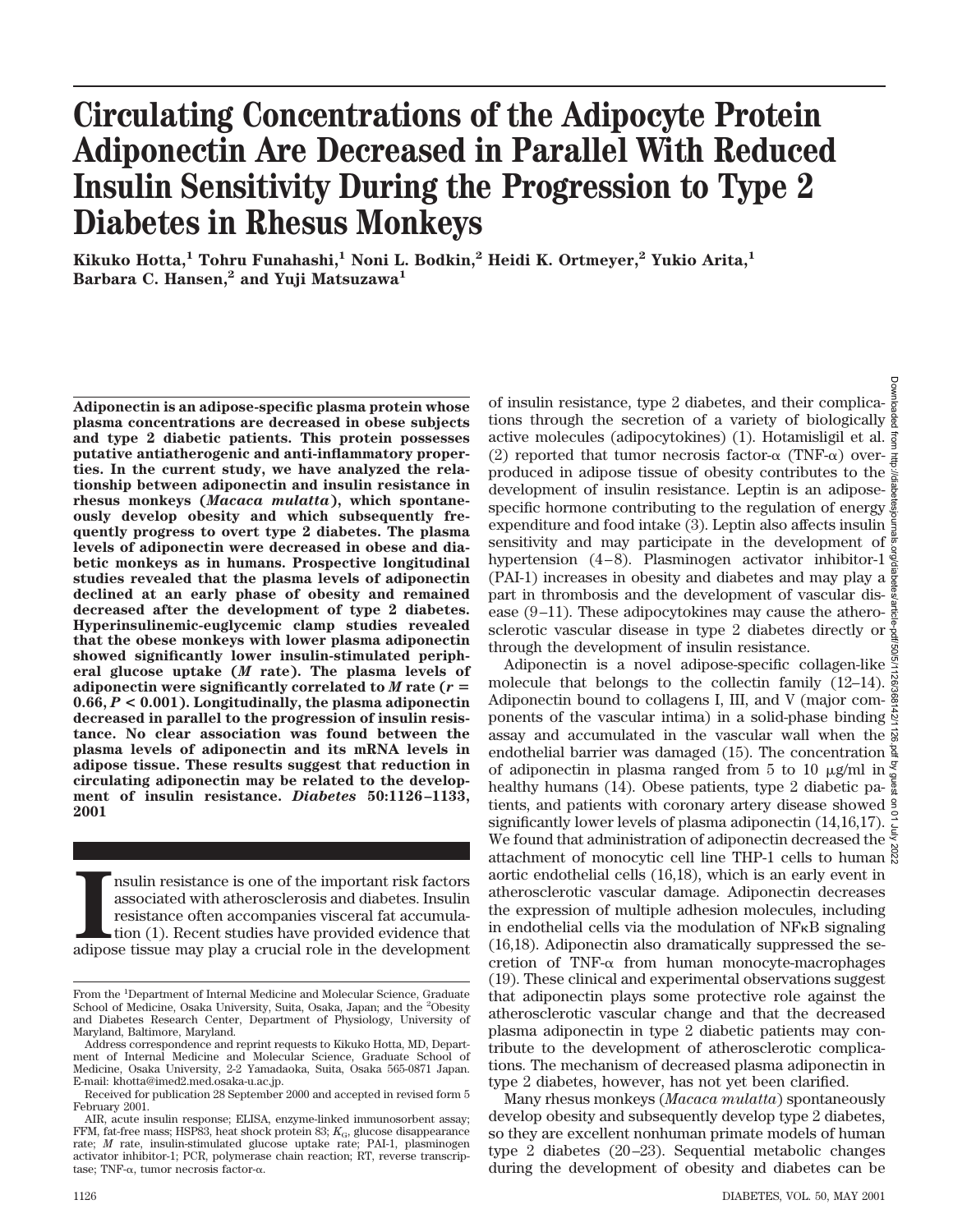# **Circulating Concentrations of the Adipocyte Protein Adiponectin Are Decreased in Parallel With Reduced Insulin Sensitivity During the Progression to Type 2 Diabetes in Rhesus Monkeys**

**Kikuko Hotta,1 Tohru Funahashi,1 Noni L. Bodkin,2 Heidi K. Ortmeyer,2 Yukio Arita,1 Barbara C. Hansen,2 and Yuji Matsuzawa1**

**Adiponectin is an adipose-specific plasma protein whose plasma concentrations are decreased in obese subjects and type 2 diabetic patients. This protein possesses putative antiatherogenic and anti-inflammatory properties. In the current study, we have analyzed the relationship between adiponectin and insulin resistance in rhesus monkeys (***Macaca mulatta***), which spontaneously develop obesity and which subsequently frequently progress to overt type 2 diabetes. The plasma levels of adiponectin were decreased in obese and diabetic monkeys as in humans. Prospective longitudinal studies revealed that the plasma levels of adiponectin declined at an early phase of obesity and remained decreased after the development of type 2 diabetes. Hyperinsulinemic-euglycemic clamp studies revealed that the obese monkeys with lower plasma adiponectin showed significantly lower insulin-stimulated peripheral glucose uptake (***M* **rate). The plasma levels of** adiponectin were significantly correlated to  $M$  rate ( $r =$ **0.66,** *P* **< 0.001). Longitudinally, the plasma adiponectin decreased in parallel to the progression of insulin resistance. No clear association was found between the plasma levels of adiponectin and its mRNA levels in adipose tissue. These results suggest that reduction in circulating adiponectin may be related to the development of insulin resistance.** *Diabetes* **50:1126–1133, 2001**

III in resistance is one of the important risk factors associated with a<br>therosclerosis and diabetes. Insulin resistance often accompanies visceral fat accumulation<br>(1). Recent studies have provided evidence that adipose t nsulin resistance is one of the important risk factors associated with atherosclerosis and diabetes. Insulin resistance often accompanies visceral fat accumulation (1). Recent studies have provided evidence that

of insulin resistance, type 2 diabetes, and their complications through the secretion of a variety of biologically active molecules (adipocytokines) (1). Hotamisligil et al. (2) reported that tumor necrosis factor- $\alpha$  (TNF- $\alpha$ ) over- $\frac{3}{4}$ produced in adipose tissue of obesity contributes to the development of insulin resistance. Leptin is an adiposespecific hormone contributing to the regulation of energy  $\frac{3}{2}$ expenditure and food intake (3). Leptin also affects insulin  $\frac{5}{2}$ sensitivity and may participate in the development of  $\frac{3}{6}$ hypertension (4–8). Plasminogen activator inhibitor-1 $\frac{3}{8}$ (PAI-1) increases in obesity and diabetes and may play a  $\frac{8}{8}$ part in thrombosis and the development of vascular disease (9–11). These adipocytokines may cause the atherosclerotic vascular disease in type 2 diabetes directly or through the development of insulin resistance. Downloaded from http://diabetesjournals.org/diabetes/article-pdf/50/5/1126/368142/1126.pdf by guest on 01 July 2022

Adiponectin is a novel adipose-specific collagen-like  $\frac{3}{2}$ molecule that belongs to the collectin family (12-14). Adiponectin bound to collagens I, III, and V (major com- $\frac{8}{3}$ ponents of the vascular intima) in a solid-phase binding  $\frac{1}{2}$ assay and accumulated in the vascular wall when the  $\frac{3}{8}$ endothelial barrier was damaged (15). The concentration  $\frac{a}{2}$ of adiponectin in plasma ranged from 5 to 10  $\mu$ g/ml in  $\frac{3}{4}$ healthy humans (14). Obese patients, type 2 diabetic patients, and patients with coronary artery disease showed significantly lower levels of plasma adiponectin (14,16,17). We found that administration of adiponectin decreased the attachment of monocytic cell line THP-1 cells to human  $\frac{8}{8}$ aortic endothelial cells (16,18), which is an early event in atherosclerotic vascular damage. Adiponectin decreases the expression of multiple adhesion molecules, including in endothelial cells via the modulation of NFkB signaling (16,18). Adiponectin also dramatically suppressed the secretion of TNF- $\alpha$  from human monocyte-macrophages (19). These clinical and experimental observations suggest that adiponectin plays some protective role against the atherosclerotic vascular change and that the decreased plasma adiponectin in type 2 diabetic patients may contribute to the development of atherosclerotic complications. The mechanism of decreased plasma adiponectin in type 2 diabetes, however, has not yet been clarified.

Many rhesus monkeys (*Macaca mulatta*) spontaneously develop obesity and subsequently develop type 2 diabetes, so they are excellent nonhuman primate models of human type 2 diabetes (20–23). Sequential metabolic changes during the development of obesity and diabetes can be

From the <sup>1</sup>Department of Internal Medicine and Molecular Science, Graduate School of Medicine, Osaka University, Suita, Osaka, Japan; and the <sup>2</sup>Obesity and Diabetes Research Center, Department of Physiology, University of Maryland, Baltimore, Maryland.

Address correspondence and reprint requests to Kikuko Hotta, MD, Department of Internal Medicine and Molecular Science, Graduate School of Medicine, Osaka University, 2-2 Yamadaoka, Suita, Osaka 565-0871 Japan. E-mail: khotta@imed2.med.osaka-u.ac.jp.

Received for publication 28 September 2000 and accepted in revised form 5 February 2001.

AIR, acute insulin response; ELISA, enzyme-linked immunosorbent assay; FFM, fat-free mass; HSP83, heat shock protein 83;  $K_{\text{G}}$ , glucose disappearance rate; *M* rate, insulin-stimulated glucose uptake rate; PAI-1, plasminogen activator inhibitor-1; PCR, polymerase chain reaction; RT, reverse transcriptase; TNF- $\alpha$ , tumor necrosis factor- $\alpha$ .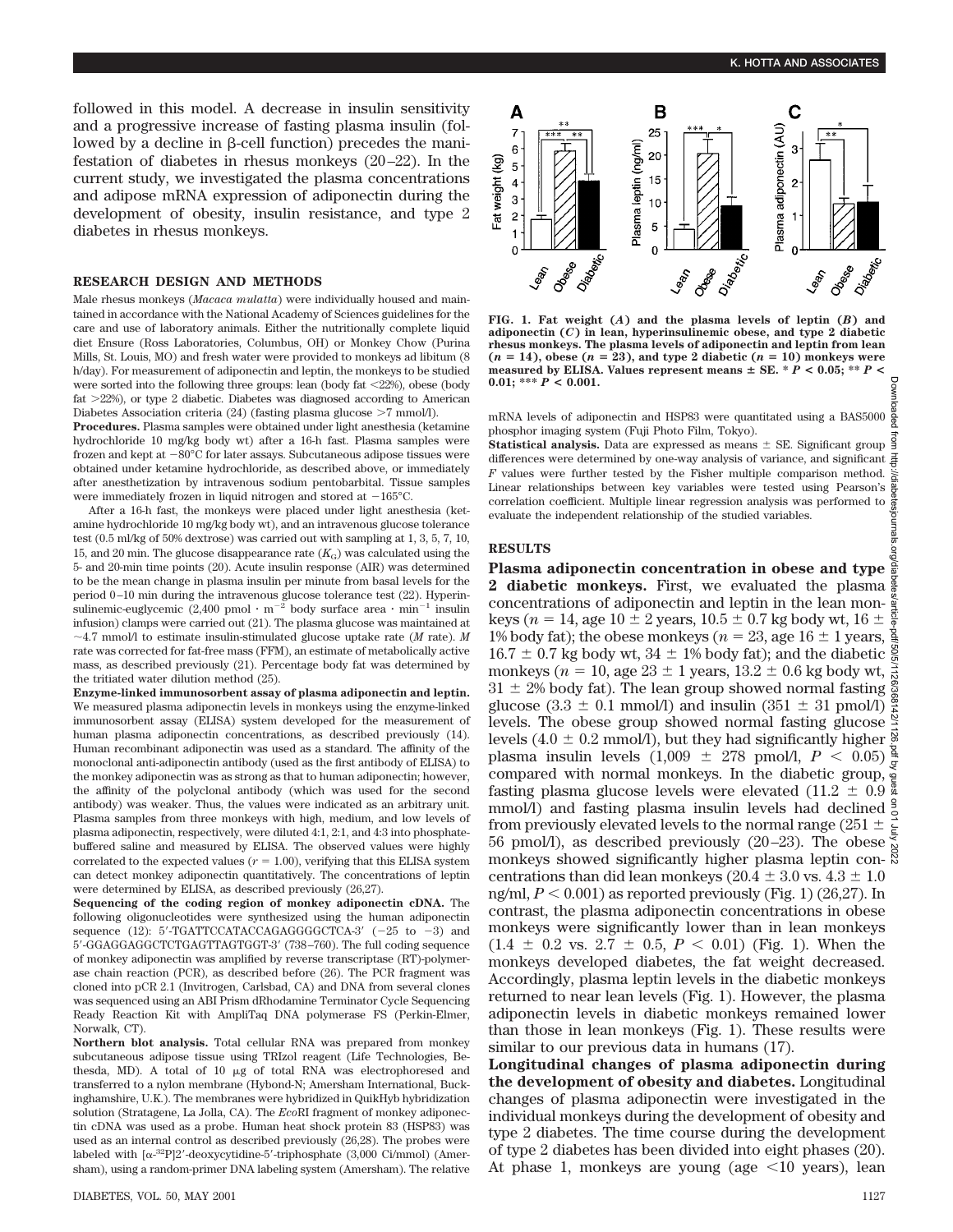followed in this model. A decrease in insulin sensitivity and a progressive increase of fasting plasma insulin (followed by a decline in  $\beta$ -cell function) precedes the manifestation of diabetes in rhesus monkeys (20–22). In the current study, we investigated the plasma concentrations and adipose mRNA expression of adiponectin during the development of obesity, insulin resistance, and type 2 diabetes in rhesus monkeys.

### **RESEARCH DESIGN AND METHODS**

Male rhesus monkeys (*Macaca mulatta*) were individually housed and maintained in accordance with the National Academy of Sciences guidelines for the care and use of laboratory animals. Either the nutritionally complete liquid diet Ensure (Ross Laboratories, Columbus, OH) or Monkey Chow (Purina Mills, St. Louis, MO) and fresh water were provided to monkeys ad libitum (8 h/day). For measurement of adiponectin and leptin, the monkeys to be studied were sorted into the following three groups: lean (body fat  $\langle 22\% \rangle$ ), obese (body fat  $>22\%$ ), or type 2 diabetic. Diabetes was diagnosed according to American Diabetes Association criteria (24) (fasting plasma glucose  $>7$  mmol/l).

**Procedures.** Plasma samples were obtained under light anesthesia (ketamine hydrochloride 10 mg/kg body wt) after a 16-h fast. Plasma samples were frozen and kept at  $-80^{\circ}$ C for later assays. Subcutaneous adipose tissues were obtained under ketamine hydrochloride, as described above, or immediately after anesthetization by intravenous sodium pentobarbital. Tissue samples were immediately frozen in liquid nitrogen and stored at  $-165^{\circ}$ C.

After a 16-h fast, the monkeys were placed under light anesthesia (ketamine hydrochloride 10 mg/kg body wt), and an intravenous glucose tolerance test (0.5 ml/kg of 50% dextrose) was carried out with sampling at 1, 3, 5, 7, 10, 15, and 20 min. The glucose disappearance rate  $(K_G)$  was calculated using the 5- and 20-min time points (20). Acute insulin response (AIR) was determined to be the mean change in plasma insulin per minute from basal levels for the period 0–10 min during the intravenous glucose tolerance test (22). Hyperinsulinemic-euglycemic (2,400 pmol  $\cdot$  m<sup>-2</sup> body surface area  $\cdot$  min<sup>-1</sup> insulin infusion) clamps were carried out (21). The plasma glucose was maintained at  $\sim$ 4.7 mmol/l to estimate insulin-stimulated glucose uptake rate (*M* rate). *M* rate was corrected for fat-free mass (FFM), an estimate of metabolically active mass, as described previously (21). Percentage body fat was determined by the tritiated water dilution method (25).

**Enzyme-linked immunosorbent assay of plasma adiponectin and leptin.** We measured plasma adiponectin levels in monkeys using the enzyme-linked immunosorbent assay (ELISA) system developed for the measurement of human plasma adiponectin concentrations, as described previously (14). Human recombinant adiponectin was used as a standard. The affinity of the monoclonal anti-adiponectin antibody (used as the first antibody of ELISA) to the monkey adiponectin was as strong as that to human adiponectin; however, the affinity of the polyclonal antibody (which was used for the second antibody) was weaker. Thus, the values were indicated as an arbitrary unit. Plasma samples from three monkeys with high, medium, and low levels of plasma adiponectin, respectively, were diluted 4:1, 2:1, and 4:3 into phosphatebuffered saline and measured by ELISA. The observed values were highly correlated to the expected values ( $r = 1.00$ ), verifying that this ELISA system can detect monkey adiponectin quantitatively. The concentrations of leptin were determined by ELISA, as described previously (26,27).

**Sequencing of the coding region of monkey adiponectin cDNA.** The following oligonucleotides were synthesized using the human adiponectin sequence (12):  $5'$ -TGATTCCATACCAGAGGGGCTCA-3' (-25 to -3) and 5'-GGAGGAGGCTCTGAGTTAGTGGT-3' (738–760). The full coding sequence of monkey adiponectin was amplified by reverse transcriptase (RT)-polymerase chain reaction (PCR), as described before (26). The PCR fragment was cloned into pCR 2.1 (Invitrogen, Carlsbad, CA) and DNA from several clones was sequenced using an ABI Prism dRhodamine Terminator Cycle Sequencing Ready Reaction Kit with AmpliTaq DNA polymerase FS (Perkin-Elmer, Norwalk, CT).

**Northern blot analysis.** Total cellular RNA was prepared from monkey subcutaneous adipose tissue using TRIzol reagent (Life Technologies, Bethesda, MD). A total of 10 mg of total RNA was electrophoresed and transferred to a nylon membrane (Hybond-N; Amersham International, Buckinghamshire, U.K.). The membranes were hybridized in QuikHyb hybridization solution (Stratagene, La Jolla, CA). The *Eco*RI fragment of monkey adiponectin cDNA was used as a probe. Human heat shock protein 83 (HSP83) was used as an internal control as described previously (26,28). The probes were labeled with  $[\alpha^{32}P]2'$ -deoxycytidine-5'-triphosphate (3,000 Ci/mmol) (Amersham), using a random-primer DNA labeling system (Amersham). The relative



**FIG. 1. Fat weight (***A***) and the plasma levels of leptin (***B***) and adiponectin (***C***) in lean, hyperinsulinemic obese, and type 2 diabetic rhesus monkeys. The plasma levels of adiponectin and leptin from lean**  $(n = 14)$ , obese  $(n = 23)$ , and type 2 diabetic  $(n = 10)$  monkeys were measured by ELISA. Values represent means  $\pm$  SE.  $*$   $\dot{P}$  < 0.05;  $*$   $*$   $P$  < **0.01; \*\*\*** *P* **< 0.001.**

mRNA levels of adiponectin and HSP83 were quantitated using a BAS5000 phosphor imaging system (Fuji Photo Film, Tokyo).

**Statistical analysis.** Data are expressed as means  $\pm$  SE. Significant group differences were determined by one-way analysis of variance, and significant *F* values were further tested by the Fisher multiple comparison method. Linear relationships between key variables were tested using Pearson's correlation coefficient. Multiple linear regression analysis was performed to evaluate the independent relationship of the studied variables.

#### **RESULTS**

**Plasma adiponectin concentration in obese and type 2 diabetic monkeys.** First, we evaluated the plasma concentrations of adiponectin and leptin in the lean monkeys ( $n = 14$ , age  $10 \pm 2$  years,  $10.5 \pm 0.7$  kg body wt,  $16 \pm$ 1% body fat); the obese monkeys ( $n = 23$ , age 16  $\pm$  1 years,  $16.7 \pm 0.7$  kg body wt,  $34 \pm 1\%$  body fat); and the diabetic monkeys ( $n = 10$ , age 23  $\pm$  1 years, 13.2  $\pm$  0.6 kg body wt,  $\frac{1}{\approx}$  $31 \pm 2\%$  body fat). The lean group showed normal fasting  $\frac{8}{8}$ glucose  $(3.3 \pm 0.1 \text{ mmol/l})$  and insulin  $(351 \pm 31 \text{ mmol/l})$ levels. The obese group showed normal fasting glucose levels (4.0  $\pm$  0.2 mmol/l), but they had significantly higher  $\frac{8}{5}$ plasma insulin levels  $(1,009 \pm 278 \text{ pmol/l}, P < 0.05) \frac{8}{5}$ compared with normal monkeys. In the diabetic group, fasting plasma glucose levels were elevated (11.2  $\pm$  0.9 mmol/l) and fasting plasma insulin levels had declined  $\frac{9}{6}$ from previously elevated levels to the normal range (251  $\pm \frac{1}{5}$ 56 pmol/l), as described previously  $(20-23)$ . The obese monkeys showed significantly higher plasma leptin con- $\frac{8}{3}$ centrations than did lean monkeys (20.4  $\pm$  3.0 vs. 4.3  $\pm$  1.0 ng/ml,  $P < 0.001$ ) as reported previously (Fig. 1) (26,27). In contrast, the plasma adiponectin concentrations in obese monkeys were significantly lower than in lean monkeys  $(1.4 \pm 0.2 \text{ vs. } 2.7 \pm 0.5, P < 0.01)$  (Fig. 1). When the monkeys developed diabetes, the fat weight decreased. Accordingly, plasma leptin levels in the diabetic monkeys returned to near lean levels (Fig. 1). However, the plasma adiponectin levels in diabetic monkeys remained lower than those in lean monkeys (Fig. 1). These results were similar to our previous data in humans (17).

**Longitudinal changes of plasma adiponectin during the development of obesity and diabetes.** Longitudinal changes of plasma adiponectin were investigated in the individual monkeys during the development of obesity and type 2 diabetes. The time course during the development of type 2 diabetes has been divided into eight phases (20). At phase 1, monkeys are young (age  $\leq 10$  years), lean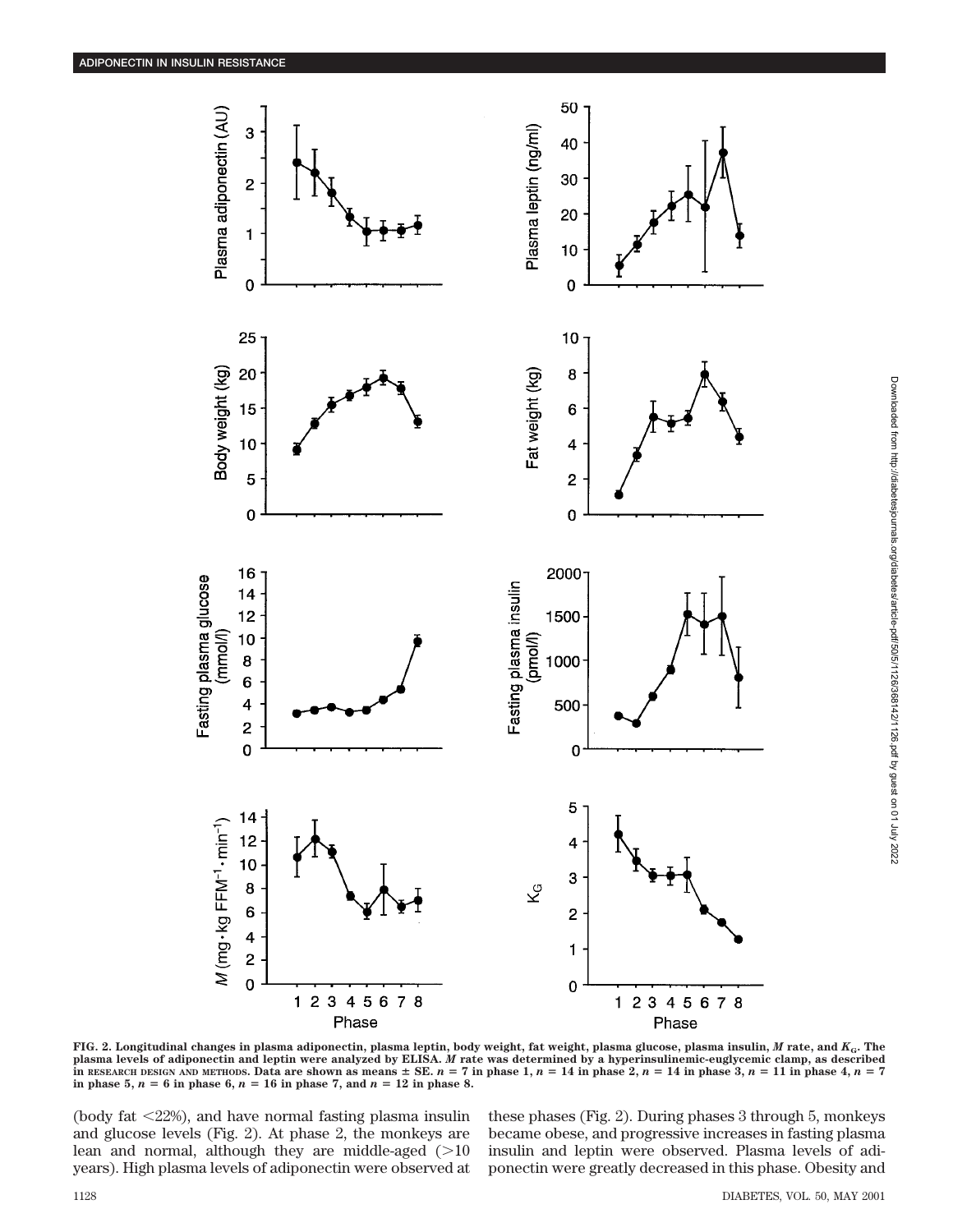

Phase Phase **FIG. 2. Longitudinal changes in plasma adiponectin, plasma leptin, body weight, fat weight, plasma glucose, plasma insulin,** *M* **rate, and** *K***G. The**

**plasma levels of adiponectin and leptin were analyzed by ELISA.** *M* **rate was determined by a hyperinsulinemic-euglycemic clamp, as described** In RESEARCH DESIGN AND METHODS. Data are shown as means  $\pm$  SE.  $n = 7$  in phase 1,  $n = 14$  in phase 2,  $n = 14$  in phase 3,  $n = 11$  in phase 4,  $n = 7$ **in phase 5,**  $n = 6$  in phase 6,  $n = 16$  in phase 7, and  $n = 12$  in phase 8.

(body fat  $\langle 22\% \rangle$ , and have normal fasting plasma insuling and glucose levels (Fig. 2). At phase 2, the monkeys are lean and normal, although they are middle-aged  $(>10$ years). High plasma levels of adiponectin were observed at

these phases (Fig. 2). During phases 3 through 5, monkeys became obese, and progressive increases in fasting plasma insulin and leptin were observed. Plasma levels of adiponectin were greatly decreased in this phase. Obesity and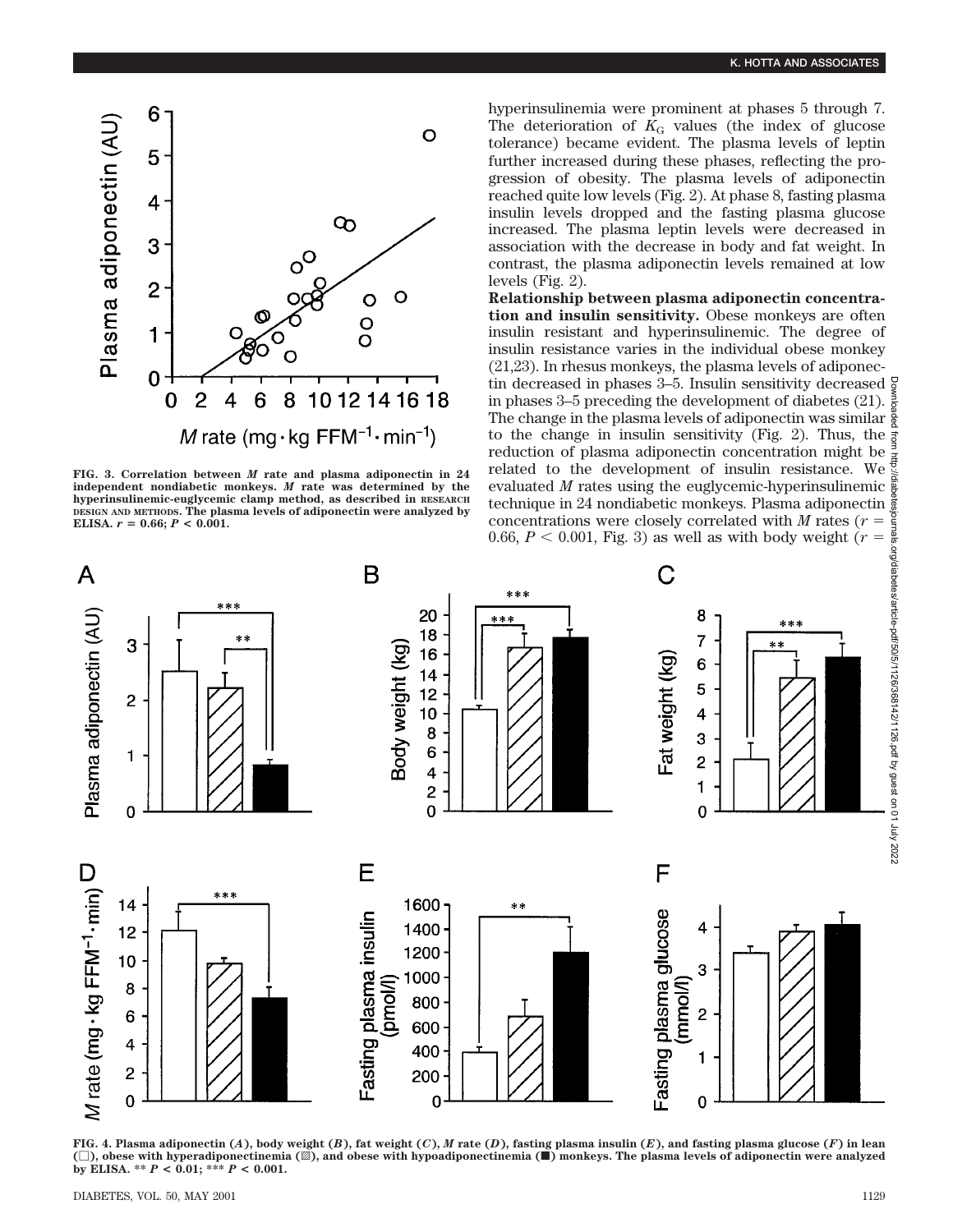

**FIG. 3. Correlation between** *M* **rate and plasma adiponectin in 24 independent nondiabetic monkeys.** *M* **rate was determined by the hyperinsulinemic-euglycemic clamp method, as described in RESEARCH DESIGN AND METHODS. The plasma levels of adiponectin were analyzed by ELISA.**  $r = 0.66$ ;  $P < 0.001$ .

hyperinsulinemia were prominent at phases 5 through 7. The deterioration of  $K<sub>G</sub>$  values (the index of glucose tolerance) became evident. The plasma levels of leptin further increased during these phases, reflecting the progression of obesity. The plasma levels of adiponectin reached quite low levels (Fig. 2). At phase 8, fasting plasma insulin levels dropped and the fasting plasma glucose increased. The plasma leptin levels were decreased in association with the decrease in body and fat weight. In contrast, the plasma adiponectin levels remained at low levels (Fig. 2).

**Relationship between plasma adiponectin concentration and insulin sensitivity.** Obese monkeys are often insulin resistant and hyperinsulinemic. The degree of insulin resistance varies in the individual obese monkey (21,23). In rhesus monkeys, the plasma levels of adiponectin decreased in phases 3–5. Insulin sensitivity decreased  $\frac{5}{2}$ in phases 3–5 preceding the development of diabetes (21). The change in the plasma levels of adiponectin was similar to the change in insulin sensitivity (Fig. 2). Thus, the reduction of plasma adiponectin concentration might be related to the development of insulin resistance. We evaluated *M* rates using the euglycemic-hyperinsulinemic technique in 24 nondiabetic monkeys. Plasma adiponectin concentrations were closely correlated with  $M$  rates ( $r =$ 0.66,  $P < 0.001$ , Fig. 3) as well as with body weight ( $r =$ 



FIG. 4. Plasma adiponectin  $(A)$ , body weight  $(B)$ , fat weight  $(C)$ , M rate  $(D)$ , fasting plasma insulin  $(E)$ , and fasting plasma glucose  $(F)$  in lean **(**M**), obese with hyperadiponectinemia (**o**), and obese with hypoadiponectinemia (**f**) monkeys. The plasma levels of adiponectin were analyzed by ELISA. \*\*** *P* **< 0.01; \*\*\*** *P* **< 0.001.**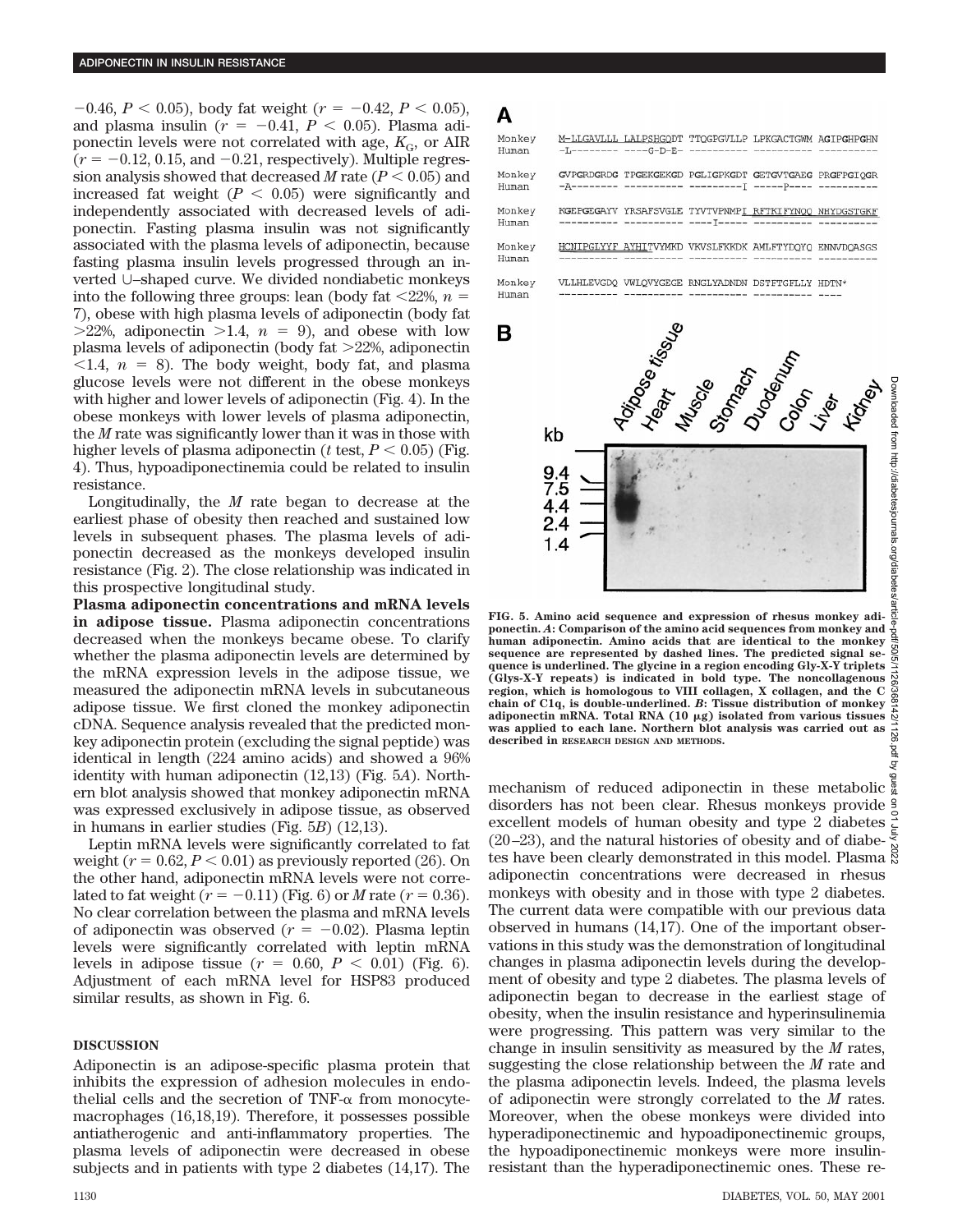$-0.46$ ,  $P < 0.05$ ), body fat weight ( $r = -0.42$ ,  $P < 0.05$ ), and plasma insulin ( $r = -0.41$ ,  $P < 0.05$ ). Plasma adiponectin levels were not correlated with age,  $K_{\text{G}}$ , or AIR  $(r = -0.12, 0.15, \text{ and } -0.21, \text{ respectively})$ . Multiple regression analysis showed that decreased *M* rate  $(P < 0.05)$  and increased fat weight  $(P < 0.05)$  were significantly and independently associated with decreased levels of adiponectin. Fasting plasma insulin was not significantly associated with the plasma levels of adiponectin, because fasting plasma insulin levels progressed through an inverted U–shaped curve. We divided nondiabetic monkeys into the following three groups: lean (body fat  $\langle 22\%, n =$ 7), obese with high plasma levels of adiponectin (body fat  $>22\%$ , adiponectin  $>1.4$ ,  $n = 9$ ), and obese with low plasma levels of adiponectin (body fat  $>22\%$ , adiponectin  $\langle 1.4, n = 8 \rangle$ . The body weight, body fat, and plasma glucose levels were not different in the obese monkeys with higher and lower levels of adiponectin (Fig. 4). In the obese monkeys with lower levels of plasma adiponectin, the *M* rate was significantly lower than it was in those with higher levels of plasma adiponectin ( $t$  test,  $P < 0.05$ ) (Fig. 4). Thus, hypoadiponectinemia could be related to insulin resistance.

Longitudinally, the *M* rate began to decrease at the earliest phase of obesity then reached and sustained low levels in subsequent phases. The plasma levels of adiponectin decreased as the monkeys developed insulin resistance (Fig. 2). The close relationship was indicated in this prospective longitudinal study.

**Plasma adiponectin concentrations and mRNA levels in adipose tissue.** Plasma adiponectin concentrations decreased when the monkeys became obese. To clarify whether the plasma adiponectin levels are determined by the mRNA expression levels in the adipose tissue, we measured the adiponectin mRNA levels in subcutaneous adipose tissue. We first cloned the monkey adiponectin cDNA. Sequence analysis revealed that the predicted monkey adiponectin protein (excluding the signal peptide) was identical in length (224 amino acids) and showed a 96% identity with human adiponectin (12,13) (Fig. 5*A*). Northern blot analysis showed that monkey adiponectin mRNA was expressed exclusively in adipose tissue, as observed in humans in earlier studies (Fig. 5*B*) (12,13).

Leptin mRNA levels were significantly correlated to fat weight  $(r = 0.62, P < 0.01)$  as previously reported (26). On the other hand, adiponectin mRNA levels were not correlated to fat weight  $(r = -0.11)$  (Fig. 6) or *M* rate  $(r = 0.36)$ . No clear correlation between the plasma and mRNA levels of adiponectin was observed  $(r = -0.02)$ . Plasma leptin levels were significantly correlated with leptin mRNA levels in adipose tissue  $(r = 0.60, P < 0.01)$  (Fig. 6). Adjustment of each mRNA level for HSP83 produced similar results, as shown in Fig. 6.

# **DISCUSSION**

Adiponectin is an adipose-specific plasma protein that inhibits the expression of adhesion molecules in endothelial cells and the secretion of  $TNF-\alpha$  from monocytemacrophages (16,18,19). Therefore, it possesses possible antiatherogenic and anti-inflammatory properties. The plasma levels of adiponectin were decreased in obese subjects and in patients with type 2 diabetes (14,17). The



A

 $1.4$ 

**FIG. 5. Amino acid sequence and expression of rhesus monkey adiponectin.** *A***: Comparison of the amino acid sequences from monkey and human adiponectin. Amino acids that are identical to the monkey sequence are represented by dashed lines. The predicted signal sequence is underlined. The glycine in a region encoding Gly-X-Y triplets (Glys-X-Y repeats) is indicated in bold type. The noncollagenous region, which is homologous to VIII collagen, X collagen, and the C chain of C1q, is double-underlined.** *B***: Tissue distribution of monkey adiponectin mRNA. Total RNA (10** m**g) isolated from various tissues was applied to each lane. Northern blot analysis was carried out as described in RESEARCH DESIGN AND METHODS.**

mechanism of reduced adiponectin in these metabolic disorders has not been clear. Rhesus monkeys provide excellent models of human obesity and type 2 diabetes  $(20-23)$ , and the natural histories of obesity and of diabetes have been clearly demonstrated in this model. Plasma  $\ddot{\rm s}$ adiponectin concentrations were decreased in rhesus monkeys with obesity and in those with type 2 diabetes. The current data were compatible with our previous data observed in humans (14,17). One of the important observations in this study was the demonstration of longitudinal changes in plasma adiponectin levels during the development of obesity and type 2 diabetes. The plasma levels of adiponectin began to decrease in the earliest stage of obesity, when the insulin resistance and hyperinsulinemia were progressing. This pattern was very similar to the change in insulin sensitivity as measured by the *M* rates, suggesting the close relationship between the *M* rate and the plasma adiponectin levels. Indeed, the plasma levels of adiponectin were strongly correlated to the *M* rates. Moreover, when the obese monkeys were divided into hyperadiponectinemic and hypoadiponectinemic groups, the hypoadiponectinemic monkeys were more insulinresistant than the hyperadiponectinemic ones. These re-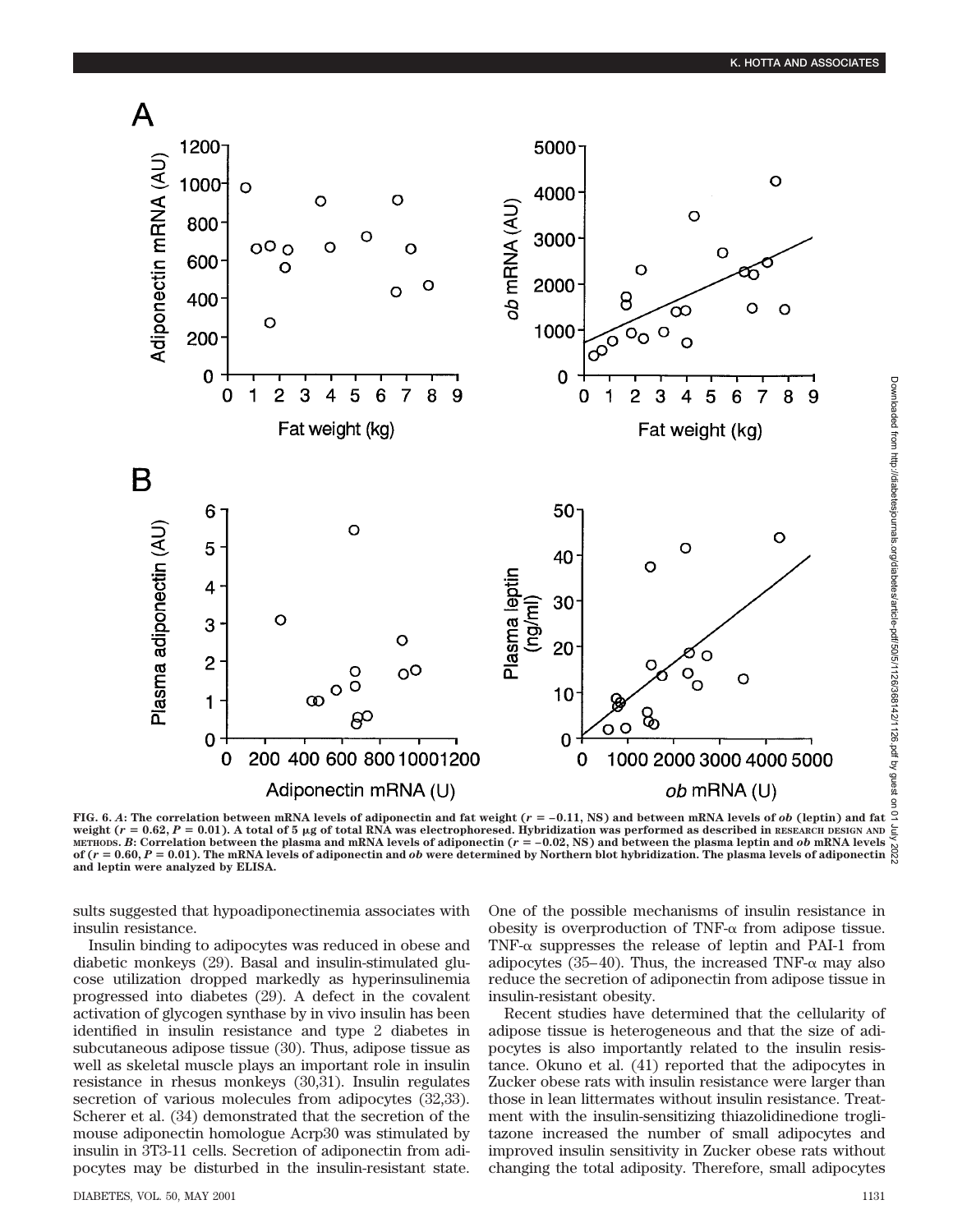

Downloaded from http://diabetesjournals.org/diabetes/article-pdf/50/5/1126/368142/1126.pdf by guest on Downloaded from http://diabetesjournals.org/diabetes/article-pdf/50/5/1126/368142/1126.pdf by guest on 01 July 2022

**FIG. 6.** A: The correlation between mRNA levels of adiponectin and fat weight ( $r = -0.11$ , NS) and between mRNA levels of *ob* (leptin) and fat  $\Omega$ weight  $(r = 0.62, P = 0.01)$ . A total of 5 µg of total RNA was electrophoresed. Hybridization was performed as described in **RESEARCH DESIGN AND** METHODS. *B*: Correlation between the plasma and mRNA levels of adiponectin  $(r = -0.02, NS)$  and between the plasma leptin and *ob* mRNA levels of  $(r = 0.60, P = 0.01)$ . The mRNA levels of adiponectin and *ob* were determined by Northern blot hybridization. The plasma levels of adiponectin **and leptin were analyzed by ELISA.**

sults suggested that hypoadiponectinemia associates with insulin resistance.

Insulin binding to adipocytes was reduced in obese and diabetic monkeys (29). Basal and insulin-stimulated glucose utilization dropped markedly as hyperinsulinemia progressed into diabetes (29). A defect in the covalent activation of glycogen synthase by in vivo insulin has been identified in insulin resistance and type 2 diabetes in subcutaneous adipose tissue (30). Thus, adipose tissue as well as skeletal muscle plays an important role in insulin resistance in rhesus monkeys (30,31). Insulin regulates secretion of various molecules from adipocytes  $(32,33)$ . Scherer et al. (34) demonstrated that the secretion of the mouse adiponectin homologue Acrp30 was stimulated by insulin in 3T3-11 cells. Secretion of adiponectin from adipocytes may be disturbed in the insulin-resistant state. One of the possible mechanisms of insulin resistance in obesity is overproduction of TNF- $\alpha$  from adipose tissue. TNF- $\alpha$  suppresses the release of leptin and PAI-1 from adipocytes (35–40). Thus, the increased TNF- $\alpha$  may also reduce the secretion of adiponectin from adipose tissue in insulin-resistant obesity.

Recent studies have determined that the cellularity of adipose tissue is heterogeneous and that the size of adipocytes is also importantly related to the insulin resistance. Okuno et al. (41) reported that the adipocytes in Zucker obese rats with insulin resistance were larger than those in lean littermates without insulin resistance. Treatment with the insulin-sensitizing thiazolidinedione troglitazone increased the number of small adipocytes and improved insulin sensitivity in Zucker obese rats without changing the total adiposity. Therefore, small adipocytes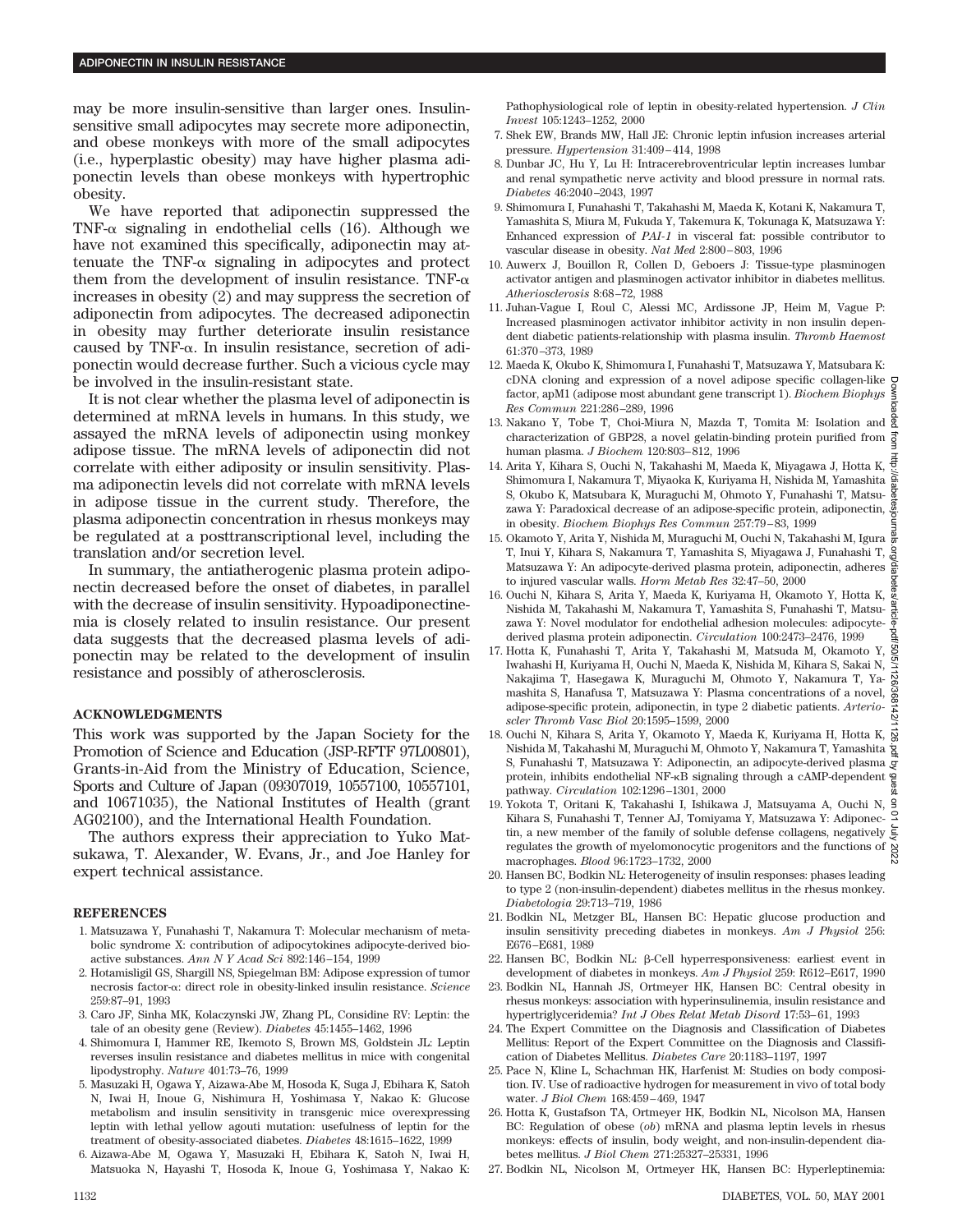may be more insulin-sensitive than larger ones. Insulinsensitive small adipocytes may secrete more adiponectin, and obese monkeys with more of the small adipocytes (i.e., hyperplastic obesity) may have higher plasma adiponectin levels than obese monkeys with hypertrophic obesity.

We have reported that adiponectin suppressed the TNF- $\alpha$  signaling in endothelial cells (16). Although we have not examined this specifically, adiponectin may attenuate the TNF- $\alpha$  signaling in adipocytes and protect them from the development of insulin resistance. TNF- $\alpha$ increases in obesity (2) and may suppress the secretion of adiponectin from adipocytes. The decreased adiponectin in obesity may further deteriorate insulin resistance caused by TNF-a. In insulin resistance, secretion of adiponectin would decrease further. Such a vicious cycle may be involved in the insulin-resistant state.

It is not clear whether the plasma level of adiponectin is determined at mRNA levels in humans. In this study, we assayed the mRNA levels of adiponectin using monkey adipose tissue. The mRNA levels of adiponectin did not correlate with either adiposity or insulin sensitivity. Plasma adiponectin levels did not correlate with mRNA levels in adipose tissue in the current study. Therefore, the plasma adiponectin concentration in rhesus monkeys may be regulated at a posttranscriptional level, including the translation and/or secretion level.

In summary, the antiatherogenic plasma protein adiponectin decreased before the onset of diabetes, in parallel with the decrease of insulin sensitivity. Hypoadiponectinemia is closely related to insulin resistance. Our present data suggests that the decreased plasma levels of adiponectin may be related to the development of insulin resistance and possibly of atherosclerosis.

## **ACKNOWLEDGMENTS**

This work was supported by the Japan Society for the Promotion of Science and Education (JSP-RFTF 97L00801), Grants-in-Aid from the Ministry of Education, Science, Sports and Culture of Japan (09307019, 10557100, 10557101, and 10671035), the National Institutes of Health (grant AG02100), and the International Health Foundation.

The authors express their appreciation to Yuko Matsukawa, T. Alexander, W. Evans, Jr., and Joe Hanley for expert technical assistance.

#### **REFERENCES**

- 1. Matsuzawa Y, Funahashi T, Nakamura T: Molecular mechanism of metabolic syndrome X: contribution of adipocytokines adipocyte-derived bioactive substances. *Ann N Y Acad Sci* 892:146–154, 1999
- 2. Hotamisligil GS, Shargill NS, Spiegelman BM: Adipose expression of tumor necrosis factor-a: direct role in obesity-linked insulin resistance. *Science* 259:87–91, 1993
- 3. Caro JF, Sinha MK, Kolaczynski JW, Zhang PL, Considine RV: Leptin: the tale of an obesity gene (Review). *Diabetes* 45:1455–1462, 1996
- 4. Shimomura I, Hammer RE, Ikemoto S, Brown MS, Goldstein JL: Leptin reverses insulin resistance and diabetes mellitus in mice with congenital lipodystrophy. *Nature* 401:73–76, 1999
- 5. Masuzaki H, Ogawa Y, Aizawa-Abe M, Hosoda K, Suga J, Ebihara K, Satoh N, Iwai H, Inoue G, Nishimura H, Yoshimasa Y, Nakao K: Glucose metabolism and insulin sensitivity in transgenic mice overexpressing leptin with lethal yellow agouti mutation: usefulness of leptin for the treatment of obesity-associated diabetes. *Diabetes* 48:1615–1622, 1999
- 6. Aizawa-Abe M, Ogawa Y, Masuzaki H, Ebihara K, Satoh N, Iwai H, Matsuoka N, Hayashi T, Hosoda K, Inoue G, Yoshimasa Y, Nakao K:

Pathophysiological role of leptin in obesity-related hypertension. *J Clin Invest* 105:1243–1252, 2000

- 7. Shek EW, Brands MW, Hall JE: Chronic leptin infusion increases arterial pressure. *Hypertension* 31:409–414, 1998
- 8. Dunbar JC, Hu Y, Lu H: Intracerebroventricular leptin increases lumbar and renal sympathetic nerve activity and blood pressure in normal rats. *Diabetes* 46:2040–2043, 1997
- 9. Shimomura I, Funahashi T, Takahashi M, Maeda K, Kotani K, Nakamura T, Yamashita S, Miura M, Fukuda Y, Takemura K, Tokunaga K, Matsuzawa Y: Enhanced expression of *PAI-1* in visceral fat: possible contributor to vascular disease in obesity. *Nat Med* 2:800–803, 1996
- 10. Auwerx J, Bouillon R, Collen D, Geboers J: Tissue-type plasminogen activator antigen and plasminogen activator inhibitor in diabetes mellitus. *Atheriosclerosis* 8:68–72, 1988
- 11. Juhan-Vague I, Roul C, Alessi MC, Ardissone JP, Heim M, Vague P: Increased plasminogen activator inhibitor activity in non insulin dependent diabetic patients-relationship with plasma insulin. *Thromb Haemost* 61:370–373, 1989
- 12. Maeda K, Okubo K, Shimomura I, Funahashi T, Matsuzawa Y, Matsubara K: cDNA cloning and expression of a novel adipose specific collagen-like factor, apM1 (adipose most abundant gene transcript 1). *Biochem Biophys Res Commun* 221:286–289, 1996
- 13. Nakano Y, Tobe T, Choi-Miura N, Mazda T, Tomita M: Isolation and characterization of GBP28, a novel gelatin-binding protein purified from  $\frac{3}{2}$ human plasma. *J Biochem* 120:803–812, 1996
- 14. Arita Y, Kihara S, Ouchi N, Takahashi M, Maeda K, Miyagawa J, Hotta K, Shimomura I, Nakamura T, Miyaoka K, Kuriyama H, Nishida M, Yamashita S, Okubo K, Matsubara K, Muraguchi M, Ohmoto Y, Funahashi T, Matsuzawa Y: Paradoxical decrease of an adipose-specific protein, adiponectin,  $\frac{9}{6}$ in obesity. *Biochem Biophys Res Commun* 257:79–83, 1999
- 15. Okamoto Y, Arita Y, Nishida M, Muraguchi M, Ouchi N, Takahashi M, Igura T, Inui Y, Kihara S, Nakamura T, Yamashita S, Miyagawa J, Funahashi T, Matsuzawa Y: An adipocyte-derived plasma protein, adiponectin, adheres to injured vascular walls. *Horm Metab Res* 32:47–50, 2000
- 16. Ouchi N, Kihara S, Arita Y, Maeda K, Kuriyama H, Okamoto Y, Hotta K, Nishida M, Takahashi M, Nakamura T, Yamashita S, Funahashi T, Matsuzawa Y: Novel modulator for endothelial adhesion molecules: adipocytederived plasma protein adiponectin. *Circulation* 100:2473–2476, 1999
- 17. Hotta K, Funahashi T, Arita Y, Takahashi M, Matsuda M, Okamoto Y, VS/1 Iwahashi H, Kuriyama H, Ouchi N, Maeda K, Nishida M, Kihara S, Sakai N, Nakajima T, Hasegawa K, Muraguchi M, Ohmoto Y, Nakamura T, Yamashita S, Hanafusa T, Matsuzawa Y: Plasma concentrations of a novel, adipose-specific protein, adiponectin, in type 2 diabetic patients. *Arterioscler Thromb Vasc Biol* 20:1595–1599, 2000
- 18. Ouchi N, Kihara S, Arita Y, Okamoto Y, Maeda K, Kuriyama H, Hotta K, Nishida M, Takahashi M, Muraguchi M, Ohmoto Y, Nakamura T, Yamashita S, Funahashi T, Matsuzawa Y: Adiponectin, an adipocyte-derived plasma protein, inhibits endothelial NF-kB signaling through a cAMP-dependent pathway. *Circulation* 102:1296–1301, 2000 Downloaded from http://diabetesjournals.org/diabetes/article-pdf/50/5/1126/368142/1126.pdf by guest on 01 July 2022
- 19. Yokota T, Oritani K, Takahashi I, Ishikawa J, Matsuyama A, Ouchi N, Kihara S, Funahashi T, Tenner AJ, Tomiyama Y, Matsuzawa Y: Adiponec- $^\mathsf{Q}$ tin, a new member of the family of soluble defense collagens, negatively  $\overline{\xi}$ tin, a new member of the failury of solutions contains and the functions of  $\frac{8}{8}$ <br>regulates the growth of myelomonocytic progenitors and the functions of  $\frac{8}{8}$ macrophages. *Blood* 96:1723–1732, 2000
- 20. Hansen BC, Bodkin NL: Heterogeneity of insulin responses: phases leading to type 2 (non-insulin-dependent) diabetes mellitus in the rhesus monkey. *Diabetologia* 29:713–719, 1986
- 21. Bodkin NL, Metzger BL, Hansen BC: Hepatic glucose production and insulin sensitivity preceding diabetes in monkeys. *Am J Physiol* 256: E676–E681, 1989
- 22. Hansen BC, Bodkin NL: b-Cell hyperresponsiveness: earliest event in development of diabetes in monkeys. *Am J Physiol* 259: R612–E617, 1990
- 23. Bodkin NL, Hannah JS, Ortmeyer HK, Hansen BC: Central obesity in rhesus monkeys: association with hyperinsulinemia, insulin resistance and hypertriglyceridemia? *Int J Obes Relat Metab Disord* 17:53–61, 1993
- 24. The Expert Committee on the Diagnosis and Classification of Diabetes Mellitus: Report of the Expert Committee on the Diagnosis and Classification of Diabetes Mellitus. *Diabetes Care* 20:1183–1197, 1997
- 25. Pace N, Kline L, Schachman HK, Harfenist M: Studies on body composition. IV. Use of radioactive hydrogen for measurement in vivo of total body water. *J Biol Chem* 168:459–469, 1947
- 26. Hotta K, Gustafson TA, Ortmeyer HK, Bodkin NL, Nicolson MA, Hansen BC: Regulation of obese (*ob*) mRNA and plasma leptin levels in rhesus monkeys: effects of insulin, body weight, and non-insulin-dependent diabetes mellitus. *J Biol Chem* 271:25327–25331, 1996
- 27. Bodkin NL, Nicolson M, Ortmeyer HK, Hansen BC: Hyperleptinemia: